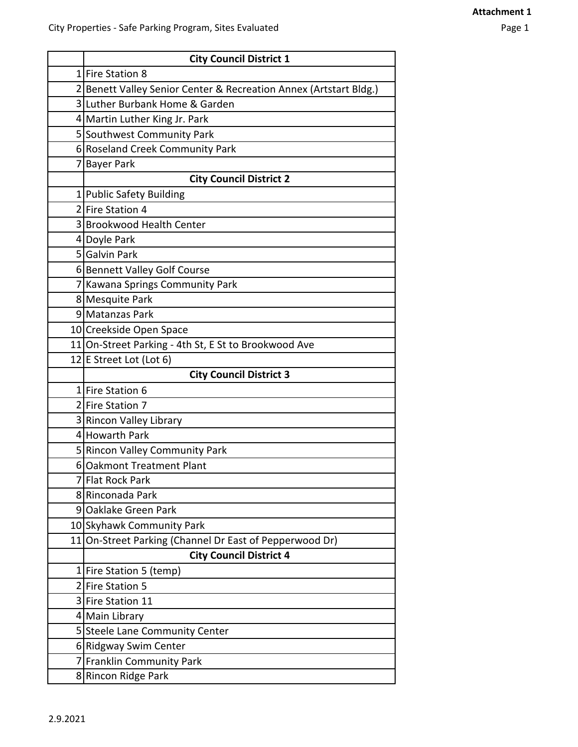| <b>City Council District 1</b>                                    |
|-------------------------------------------------------------------|
| 1 Fire Station 8                                                  |
| 2 Benett Valley Senior Center & Recreation Annex (Artstart Bldg.) |
| 3 Luther Burbank Home & Garden                                    |
| 4 Martin Luther King Jr. Park                                     |
| 5 Southwest Community Park                                        |
| 6 Roseland Creek Community Park                                   |
| 7 Bayer Park                                                      |
| <b>City Council District 2</b>                                    |
| 1 Public Safety Building                                          |
| 2 Fire Station 4                                                  |
| 3 Brookwood Health Center                                         |
| 4 Doyle Park                                                      |
| 5 Galvin Park                                                     |
| 6 Bennett Valley Golf Course                                      |
| 7 Kawana Springs Community Park                                   |
| 8 Mesquite Park                                                   |
| 9 Matanzas Park                                                   |
| 10 Creekside Open Space                                           |
| 11 On-Street Parking - 4th St, E St to Brookwood Ave              |
| 12 E Street Lot (Lot 6)                                           |
| <b>City Council District 3</b>                                    |
| 1 Fire Station 6                                                  |
| 2 Fire Station 7                                                  |
| 3 Rincon Valley Library                                           |
| 4 Howarth Park                                                    |
| 5 Rincon Valley Community Park                                    |
| 6 Oakmont Treatment Plant                                         |
|                                                                   |
| 7 Flat Rock Park                                                  |
| 8 Rinconada Park                                                  |
| 9 Oaklake Green Park                                              |
| 10 Skyhawk Community Park                                         |
| 11 On-Street Parking (Channel Dr East of Pepperwood Dr)           |
| <b>City Council District 4</b>                                    |
| 1 Fire Station 5 (temp)                                           |
| 2 Fire Station 5                                                  |
| 3 Fire Station 11                                                 |
| 4 Main Library                                                    |
| 5 Steele Lane Community Center                                    |
| 6 Ridgway Swim Center                                             |
| 7 Franklin Community Park                                         |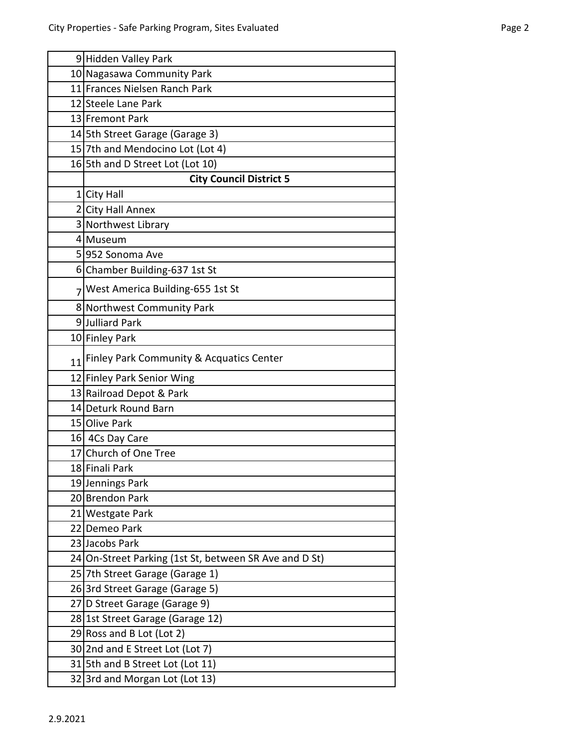|                | 9 Hidden Valley Park                                   |
|----------------|--------------------------------------------------------|
|                | 10 Nagasawa Community Park                             |
|                | 11 Frances Nielsen Ranch Park                          |
|                | 12 Steele Lane Park                                    |
|                | 13 Fremont Park                                        |
|                | 14 5th Street Garage (Garage 3)                        |
|                | 15 7th and Mendocino Lot (Lot 4)                       |
|                | 16 5th and D Street Lot (Lot 10)                       |
|                | <b>City Council District 5</b>                         |
|                | 1 City Hall                                            |
|                | 2 City Hall Annex                                      |
|                | 3 Northwest Library                                    |
|                | 4 Museum                                               |
|                | 5 952 Sonoma Ave                                       |
|                | 6 Chamber Building-637 1st St                          |
| 7 <sup>1</sup> | West America Building-655 1st St                       |
|                | 8 Northwest Community Park                             |
|                | 9Julliard Park                                         |
|                | 10 Finley Park                                         |
| 11             | Finley Park Community & Acquatics Center               |
|                | 12 Finley Park Senior Wing                             |
|                | 13 Railroad Depot & Park                               |
|                | 14 Deturk Round Barn                                   |
|                | 15 Olive Park                                          |
|                | 16 4Cs Day Care                                        |
|                | 17 Church of One Tree                                  |
|                | 18 Finali Park                                         |
|                | 19 Jennings Park                                       |
|                | 20 Brendon Park                                        |
|                | 21 Westgate Park                                       |
|                | 22 Demeo Park                                          |
|                | 23 Jacobs Park                                         |
|                | 24 On-Street Parking (1st St, between SR Ave and D St) |
|                | 25 7th Street Garage (Garage 1)                        |
|                | 26 3rd Street Garage (Garage 5)                        |
|                | 27 D Street Garage (Garage 9)                          |
|                | 28 1st Street Garage (Garage 12)                       |
|                | 29 Ross and B Lot (Lot 2)                              |
|                | 30 2nd and E Street Lot (Lot 7)                        |
|                | 31 5th and B Street Lot (Lot 11)                       |
|                | 32 3rd and Morgan Lot (Lot 13)                         |